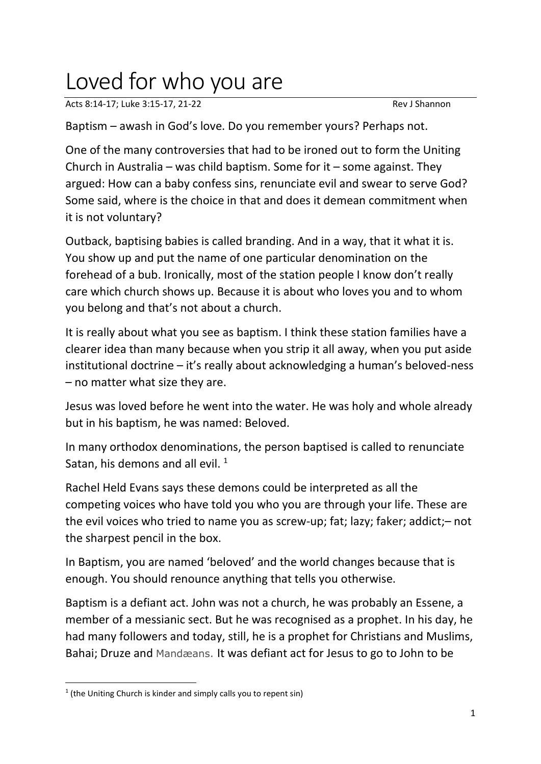## Loved for who you are

Acts 8:14-17; Luke 3:15-17, 21-22 Rev J Shannon

Baptism – awash in God's love. Do you remember yours? Perhaps not.

One of the many controversies that had to be ironed out to form the Uniting Church in Australia – was child baptism. Some for it – some against. They argued: How can a baby confess sins, renunciate evil and swear to serve God? Some said, where is the choice in that and does it demean commitment when it is not voluntary?

Outback, baptising babies is called branding. And in a way, that it what it is. You show up and put the name of one particular denomination on the forehead of a bub. Ironically, most of the station people I know don't really care which church shows up. Because it is about who loves you and to whom you belong and that's not about a church.

It is really about what you see as baptism. I think these station families have a clearer idea than many because when you strip it all away, when you put aside institutional doctrine – it's really about acknowledging a human's beloved-ness – no matter what size they are.

Jesus was loved before he went into the water. He was holy and whole already but in his baptism, he was named: Beloved.

In many orthodox denominations, the person baptised is called to renunciate Satan, his demons and all evil.  $1$ 

Rachel Held Evans says these demons could be interpreted as all the competing voices who have told you who you are through your life. These are the evil voices who tried to name you as screw-up; fat; lazy; faker; addict;– not the sharpest pencil in the box.

In Baptism, you are named 'beloved' and the world changes because that is enough. You should renounce anything that tells you otherwise.

Baptism is a defiant act. John was not a church, he was probably an Essene, a member of a messianic sect. But he was recognised as a prophet. In his day, he had many followers and today, still, he is a prophet for Christians and Muslims, Bahai; Druze and Mandæans. It was defiant act for Jesus to go to John to be

<sup>&</sup>lt;sup>1</sup> (the Uniting Church is kinder and simply calls you to repent sin)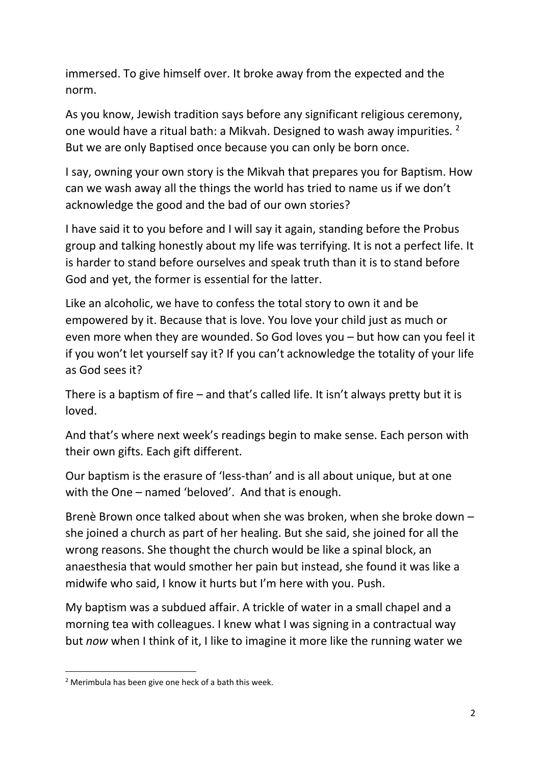immersed. To give himself over. It broke away from the expected and the norm.

As you know, Jewish tradition says before any significant religious ceremony, one would have a ritual bath: a Mikvah. Designed to wash away impurities. <sup>2</sup> But we are only Baptised once because you can only be born once.

I say, owning your own story is the Mikvah that prepares you for Baptism. How can we wash away all the things the world has tried to name us if we don't acknowledge the good and the bad of our own stories?

I have said it to you before and I will say it again, standing before the Probus group and talking honestly about my life was terrifying. It is not a perfect life. It is harder to stand before ourselves and speak truth than it is to stand before God and yet, the former is essential for the latter.

Like an alcoholic, we have to confess the total story to own it and be empowered by it. Because that is love. You love your child just as much or even more when they are wounded. So God loves you – but how can you feel it if you won't let yourself say it? If you can't acknowledge the totality of your life as God sees it?

There is a baptism of fire  $-$  and that's called life. It isn't always pretty but it is loved.

And that's where next week's readings begin to make sense. Each person with their own gifts. Each gift different.

Our baptism is the erasure of 'less-than' and is all about unique, but at one with the One – named 'beloved'. And that is enough.

Brenè Brown once talked about when she was broken, when she broke down – she joined a church as part of her healing. But she said, she joined for all the wrong reasons. She thought the church would be like a spinal block, an anaesthesia that would smother her pain but instead, she found it was like a midwife who said, I know it hurts but I'm here with you. Push.

My baptism was a subdued affair. A trickle of water in a small chapel and a morning tea with colleagues. I knew what I was signing in a contractual way but *now* when I think of it, I like to imagine it more like the running water we

<sup>2</sup> Merimbula has been give one heck of a bath this week.